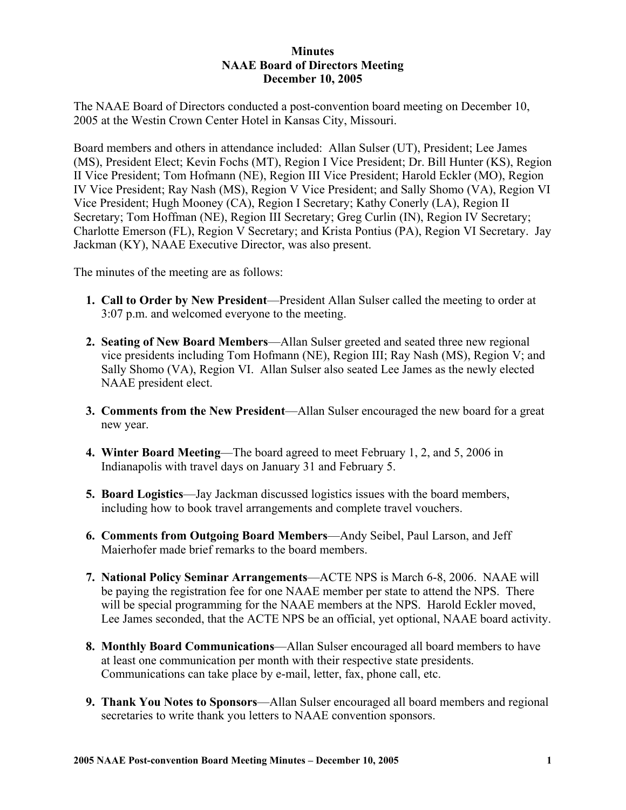## **Minutes NAAE Board of Directors Meeting December 10, 2005**

The NAAE Board of Directors conducted a post-convention board meeting on December 10, 2005 at the Westin Crown Center Hotel in Kansas City, Missouri.

Board members and others in attendance included: Allan Sulser (UT), President; Lee James (MS), President Elect; Kevin Fochs (MT), Region I Vice President; Dr. Bill Hunter (KS), Region II Vice President; Tom Hofmann (NE), Region III Vice President; Harold Eckler (MO), Region IV Vice President; Ray Nash (MS), Region V Vice President; and Sally Shomo (VA), Region VI Vice President; Hugh Mooney (CA), Region I Secretary; Kathy Conerly (LA), Region II Secretary; Tom Hoffman (NE), Region III Secretary; Greg Curlin (IN), Region IV Secretary; Charlotte Emerson (FL), Region V Secretary; and Krista Pontius (PA), Region VI Secretary. Jay Jackman (KY), NAAE Executive Director, was also present.

The minutes of the meeting are as follows:

- **1. Call to Order by New President**—President Allan Sulser called the meeting to order at 3:07 p.m. and welcomed everyone to the meeting.
- **2. Seating of New Board Members**—Allan Sulser greeted and seated three new regional vice presidents including Tom Hofmann (NE), Region III; Ray Nash (MS), Region V; and Sally Shomo (VA), Region VI. Allan Sulser also seated Lee James as the newly elected NAAE president elect.
- **3. Comments from the New President**—Allan Sulser encouraged the new board for a great new year.
- **4. Winter Board Meeting**—The board agreed to meet February 1, 2, and 5, 2006 in Indianapolis with travel days on January 31 and February 5.
- **5. Board Logistics**—Jay Jackman discussed logistics issues with the board members, including how to book travel arrangements and complete travel vouchers.
- **6. Comments from Outgoing Board Members**—Andy Seibel, Paul Larson, and Jeff Maierhofer made brief remarks to the board members.
- **7. National Policy Seminar Arrangements**—ACTE NPS is March 6-8, 2006. NAAE will be paying the registration fee for one NAAE member per state to attend the NPS. There will be special programming for the NAAE members at the NPS. Harold Eckler moved, Lee James seconded, that the ACTE NPS be an official, yet optional, NAAE board activity.
- **8. Monthly Board Communications**—Allan Sulser encouraged all board members to have at least one communication per month with their respective state presidents. Communications can take place by e-mail, letter, fax, phone call, etc.
- **9. Thank You Notes to Sponsors**—Allan Sulser encouraged all board members and regional secretaries to write thank you letters to NAAE convention sponsors.